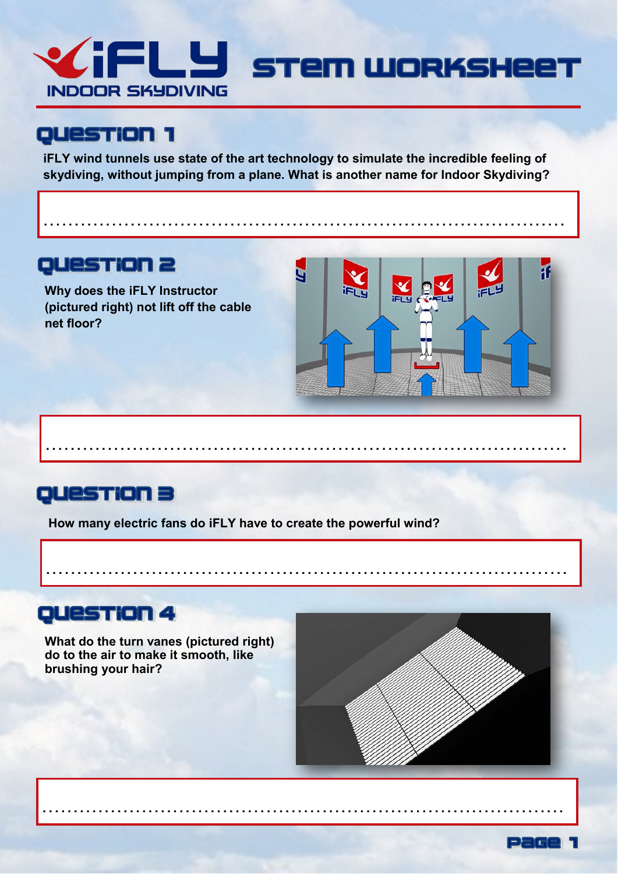

iFLY wind tunnels use state of the art technology to simulate the incredible feeling of skydiving, without jumping from a plane. What is another name for Indoor Skydiving?

 $\mathbf{r}$  .  $\mathbf{r}$ 

## **QUESTION 2**

Why does the iFLY Instructor (pictured right) not lift off the cable net floor?



### QUESTION 3

How many electric fans do iFLY have to create the powerful wind?

### **QUESTION 4**

What do the turn vanes (pictured right) do to the air to make it smooth, like brushing your hair?



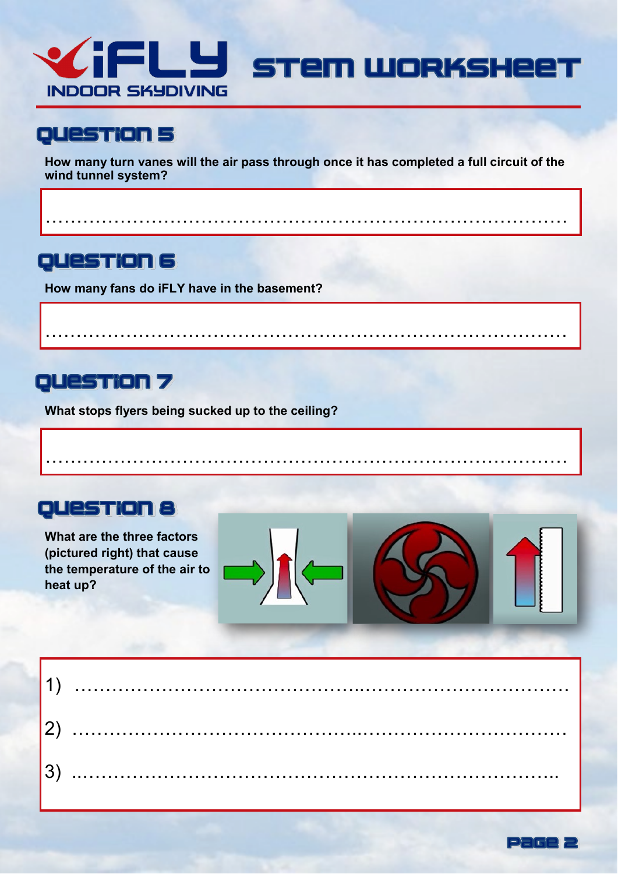

**How many turn vanes will the air pass through once it has completed a full circuit of the wind tunnel system?** 

…………………………………………………………………………

…………………………………………………………………………

…………………………………………………………………………

## **QUESTION 6**

**How many fans do iFLY have in the basement?** 

## QUESTION 7

**What stops flyers being sucked up to the ceiling?** 

## **QUESTION 8**

**What are the three factors (pictured right) that cause the temperature of the air to heat up?** 



| 3) |  |
|----|--|

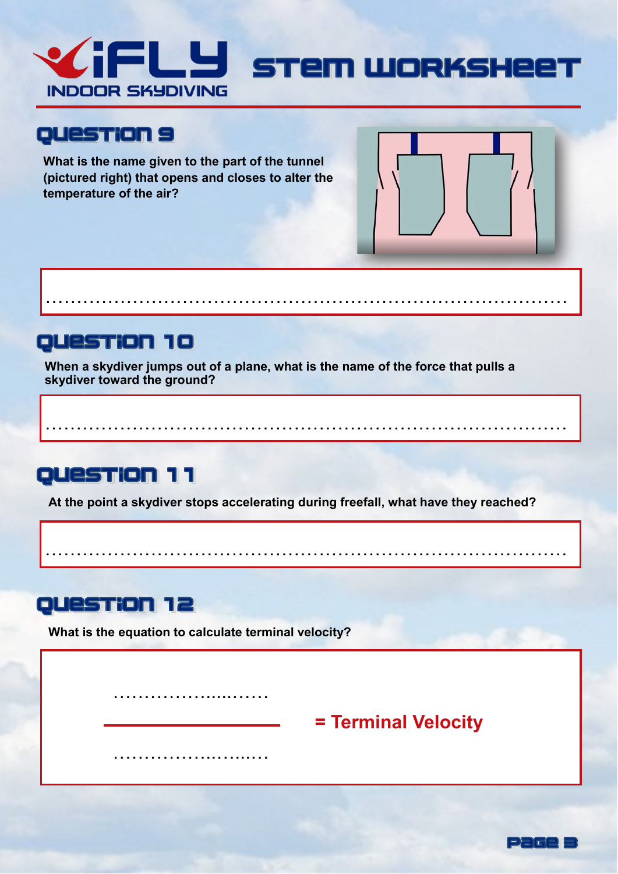

**What is the name given to the part of the tunnel (pictured right) that opens and closes to alter the temperature of the air?** 

## QUESTION 10

**When a skydiver jumps out of a plane, what is the name of the force that pulls a skydiver toward the ground?** 

…………………………………………………………………………

## **QUESTION 11**

**At the point a skydiver stops accelerating during freefall, what have they reached?** 

…………………………………………………………………………

…………………………………………………………………………

## **QUestion 12**

**What is the equation to calculate terminal velocity?**

…………………………

……………..…...…

# **= Terminal Velocity**

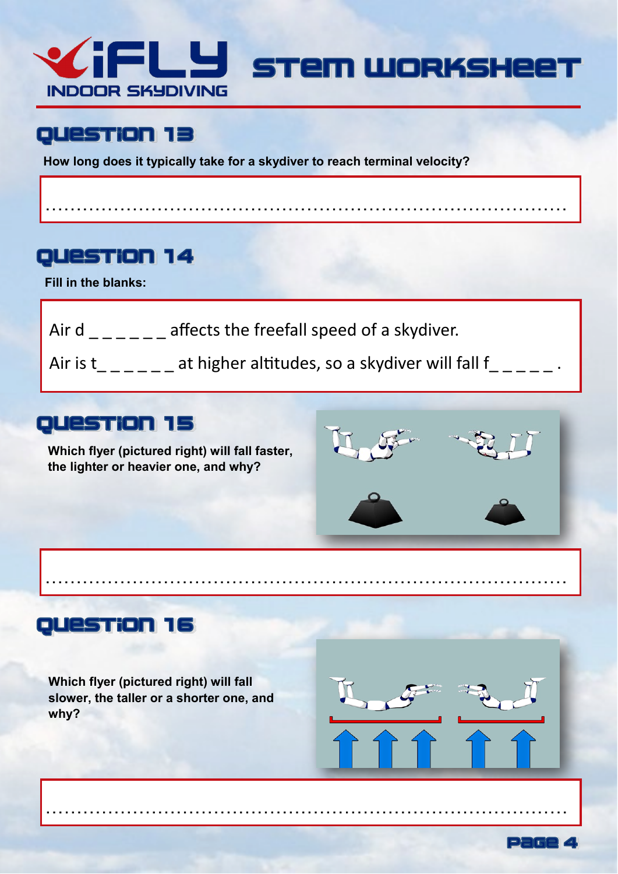

…………………………………………………………………………

### QUESTION 13

**How long does it typically take for a skydiver to reach terminal velocity?** 

### QUESTION 14

**Fill in the blanks:**

- Air d  $\angle$   $\angle$   $\angle$   $\angle$   $\angle$   $\angle$  affects the freefall speed of a skydiver.
- Air is  $t_{\_---}$  at higher altitudes, so a skydiver will fall  $f_{\_---}$

…………………………………………………………………………

…………………………………………………………………………

### QUESTION 15

**Which flyer (pictured right) will fall faster, the lighter or heavier one, and why?** 



## QUestion 16

**Which flyer (pictured right) will fall slower, the taller or a shorter one, and why?** 



Page 4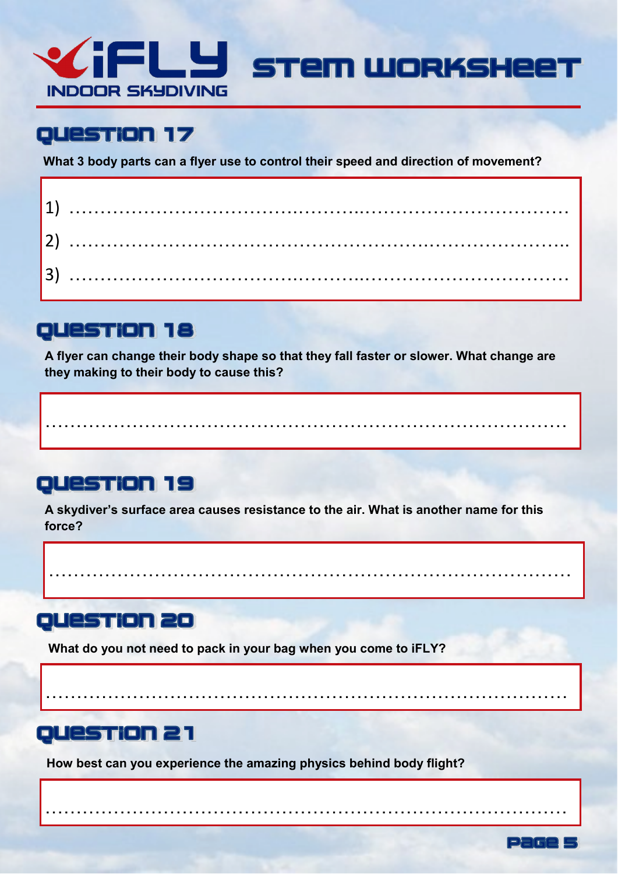

**What 3 body parts can a flyer use to control their speed and direction of movement?** 

| I3) |  |  |  |  |  |  |  |  |  |  |  |  |  |  |  |  |  |  |  |  |  |  |  |  |  |  |  |  |  |  |  |  |  |  |  |
|-----|--|--|--|--|--|--|--|--|--|--|--|--|--|--|--|--|--|--|--|--|--|--|--|--|--|--|--|--|--|--|--|--|--|--|--|

# **QUESTION 18**

**A flyer can change their body shape so that they fall faster or slower. What change are they making to their body to cause this?** 

…………………………………………………………………………

# QUESTION 19

**A skydiver's surface area causes resistance to the air. What is another name for this force?** 

…………………………………………………………………………

…………………………………………………………………………

…………………………………………………………………………

Page

## QUESTION 20

**What do you not need to pack in your bag when you come to iFLY?** 

# **QUESTION 21**

**How best can you experience the amazing physics behind body flight?**